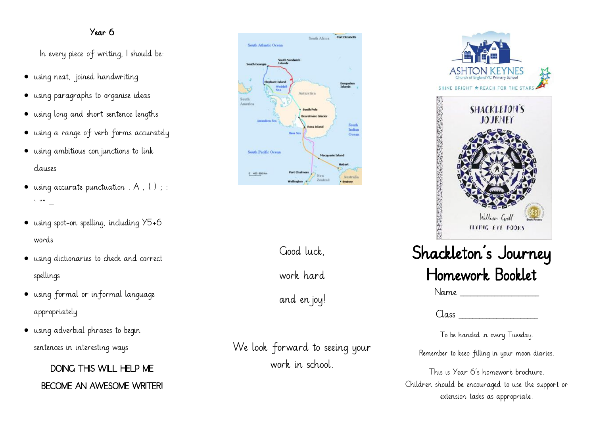#### Year 6

In every piece of writing, I should be:

- using neat, joined handwriting
- using paragraphs to organise ideas
- using long and short sentence lengths
- using a range of verb forms accurately
- using ambitious con junctions to link clauses
- using accurate punctuation  $A, ( )$ ;  $\mathbf{v} \parallel \mathbf{w}$
- using spot-on spelling, including Y5+6 words
- using dictionaries to check and correct spellings
- using formal or informal language appropriately
- using adverbial phrases to begin sentences in interesting ways

DOING THIS WILL HELP ME BECOME AN AWESOME WRITER!



Good luck,

work hard

and en joy!

We look forward to seeing your work in school.



 $Name$ 

 $Class$ 

To be handed in every Tuesday.

Remember to keep filling in your moon diaries.

This is Year 6's homework brochure. Children should be encouraged to use the support or extension tasks as appropriate.